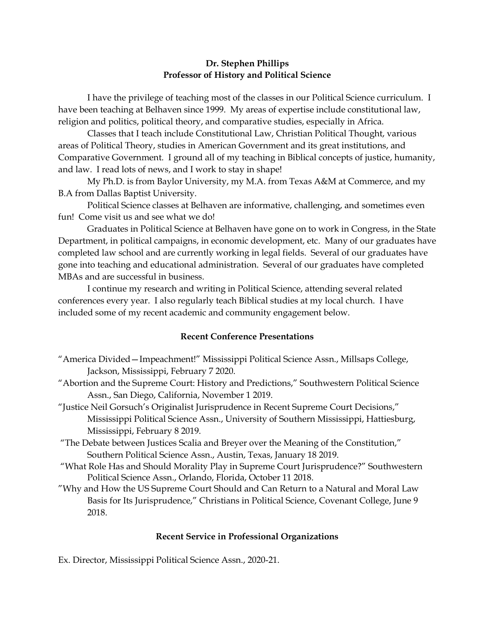## Dr. Stephen Phillips Professor of History and Political Science

 I have the privilege of teaching most of the classes in our Political Science curriculum. I have been teaching at Belhaven since 1999. My areas of expertise include constitutional law, religion and politics, political theory, and comparative studies, especially in Africa.

 Classes that I teach include Constitutional Law, Christian Political Thought, various areas of Political Theory, studies in American Government and its great institutions, and Comparative Government. I ground all of my teaching in Biblical concepts of justice, humanity, and law. I read lots of news, and I work to stay in shape!

 My Ph.D. is from Baylor University, my M.A. from Texas A&M at Commerce, and my B.A from Dallas Baptist University.

 Political Science classes at Belhaven are informative, challenging, and sometimes even fun! Come visit us and see what we do!

 Graduates in Political Science at Belhaven have gone on to work in Congress, in the State Department, in political campaigns, in economic development, etc. Many of our graduates have completed law school and are currently working in legal fields. Several of our graduates have gone into teaching and educational administration. Several of our graduates have completed MBAs and are successful in business.

 I continue my research and writing in Political Science, attending several related conferences every year. I also regularly teach Biblical studies at my local church. I have included some of my recent academic and community engagement below.

## Recent Conference Presentations

- "America Divided—Impeachment!" Mississippi Political Science Assn., Millsaps College, Jackson, Mississippi, February 7 2020.
- "Abortion and the Supreme Court: History and Predictions," Southwestern Political Science Assn., San Diego, California, November 1 2019.
- "Justice Neil Gorsuch's Originalist Jurisprudence in Recent Supreme Court Decisions," Mississippi Political Science Assn., University of Southern Mississippi, Hattiesburg, Mississippi, February 8 2019.
- "The Debate between Justices Scalia and Breyer over the Meaning of the Constitution," Southern Political Science Assn., Austin, Texas, January 18 2019.
- "What Role Has and Should Morality Play in Supreme Court Jurisprudence?" Southwestern Political Science Assn., Orlando, Florida, October 11 2018.
- "Why and How the US Supreme Court Should and Can Return to a Natural and Moral Law Basis for Its Jurisprudence," Christians in Political Science, Covenant College, June 9 2018.

## Recent Service in Professional Organizations

Ex. Director, Mississippi Political Science Assn., 2020-21.